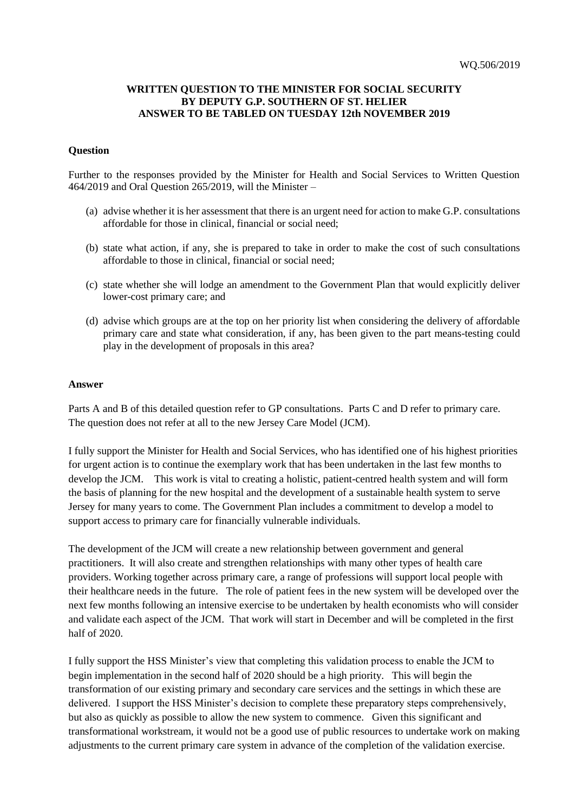## **WRITTEN QUESTION TO THE MINISTER FOR SOCIAL SECURITY BY DEPUTY G.P. SOUTHERN OF ST. HELIER ANSWER TO BE TABLED ON TUESDAY 12th NOVEMBER 2019**

## **Question**

Further to the responses provided by the Minister for Health and Social Services to Written Question 464/2019 and Oral Question 265/2019, will the Minister –

- (a) advise whether it is her assessment that there is an urgent need for action to make G.P. consultations affordable for those in clinical, financial or social need;
- (b) state what action, if any, she is prepared to take in order to make the cost of such consultations affordable to those in clinical, financial or social need;
- (c) state whether she will lodge an amendment to the Government Plan that would explicitly deliver lower-cost primary care; and
- (d) advise which groups are at the top on her priority list when considering the delivery of affordable primary care and state what consideration, if any, has been given to the part means-testing could play in the development of proposals in this area?

## **Answer**

Parts A and B of this detailed question refer to GP consultations. Parts C and D refer to primary care. The question does not refer at all to the new Jersey Care Model (JCM).

I fully support the Minister for Health and Social Services, who has identified one of his highest priorities for urgent action is to continue the exemplary work that has been undertaken in the last few months to develop the JCM. This work is vital to creating a holistic, patient-centred health system and will form the basis of planning for the new hospital and the development of a sustainable health system to serve Jersey for many years to come. The Government Plan includes a commitment to develop a model to support access to primary care for financially vulnerable individuals.

The development of the JCM will create a new relationship between government and general practitioners. It will also create and strengthen relationships with many other types of health care providers. Working together across primary care, a range of professions will support local people with their healthcare needs in the future. The role of patient fees in the new system will be developed over the next few months following an intensive exercise to be undertaken by health economists who will consider and validate each aspect of the JCM. That work will start in December and will be completed in the first half of 2020.

I fully support the HSS Minister's view that completing this validation process to enable the JCM to begin implementation in the second half of 2020 should be a high priority. This will begin the transformation of our existing primary and secondary care services and the settings in which these are delivered. I support the HSS Minister's decision to complete these preparatory steps comprehensively, but also as quickly as possible to allow the new system to commence. Given this significant and transformational workstream, it would not be a good use of public resources to undertake work on making adjustments to the current primary care system in advance of the completion of the validation exercise.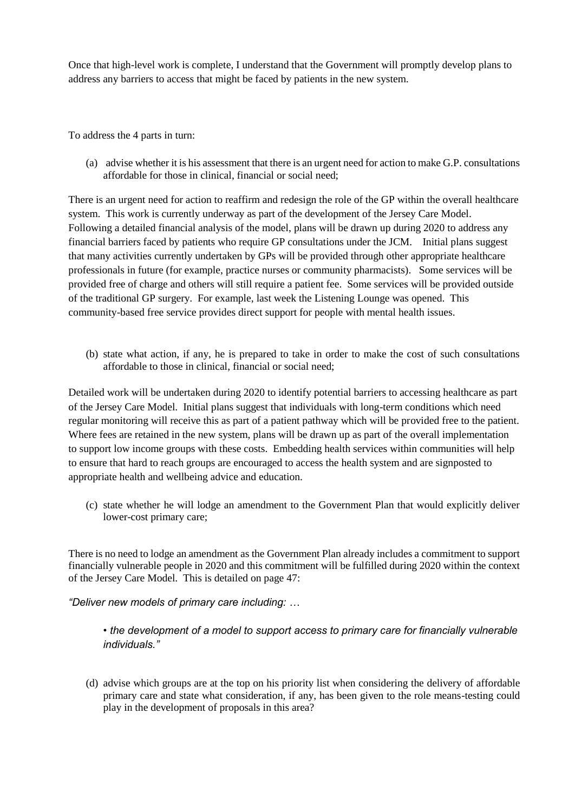Once that high-level work is complete, I understand that the Government will promptly develop plans to address any barriers to access that might be faced by patients in the new system.

To address the 4 parts in turn:

(a) advise whether it is his assessment that there is an urgent need for action to make G.P. consultations affordable for those in clinical, financial or social need;

There is an urgent need for action to reaffirm and redesign the role of the GP within the overall healthcare system. This work is currently underway as part of the development of the Jersey Care Model. Following a detailed financial analysis of the model, plans will be drawn up during 2020 to address any financial barriers faced by patients who require GP consultations under the JCM. Initial plans suggest that many activities currently undertaken by GPs will be provided through other appropriate healthcare professionals in future (for example, practice nurses or community pharmacists). Some services will be provided free of charge and others will still require a patient fee. Some services will be provided outside of the traditional GP surgery. For example, last week the Listening Lounge was opened. This community-based free service provides direct support for people with mental health issues.

(b) state what action, if any, he is prepared to take in order to make the cost of such consultations affordable to those in clinical, financial or social need;

Detailed work will be undertaken during 2020 to identify potential barriers to accessing healthcare as part of the Jersey Care Model. Initial plans suggest that individuals with long-term conditions which need regular monitoring will receive this as part of a patient pathway which will be provided free to the patient. Where fees are retained in the new system, plans will be drawn up as part of the overall implementation to support low income groups with these costs. Embedding health services within communities will help to ensure that hard to reach groups are encouraged to access the health system and are signposted to appropriate health and wellbeing advice and education.

(c) state whether he will lodge an amendment to the Government Plan that would explicitly deliver lower-cost primary care;

There is no need to lodge an amendment as the Government Plan already includes a commitment to support financially vulnerable people in 2020 and this commitment will be fulfilled during 2020 within the context of the Jersey Care Model. This is detailed on page 47:

*"Deliver new models of primary care including: …*

*• the development of a model to support access to primary care for financially vulnerable individuals."*

(d) advise which groups are at the top on his priority list when considering the delivery of affordable primary care and state what consideration, if any, has been given to the role means-testing could play in the development of proposals in this area?